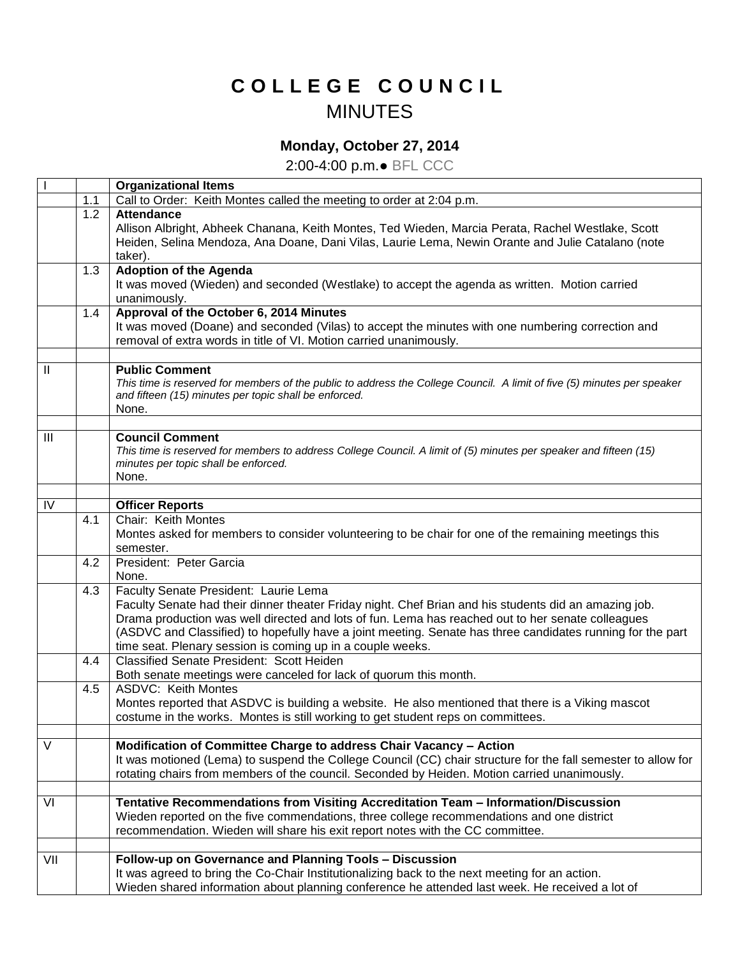## **C O L L E G E C O U N C I L** MINUTES

## **Monday, October 27, 2014**

2:00-4:00 p.m.● BFL CCC

|               |     | <b>Organizational Items</b>                                                                                             |
|---------------|-----|-------------------------------------------------------------------------------------------------------------------------|
|               | 1.1 | Call to Order: Keith Montes called the meeting to order at 2:04 p.m.                                                    |
|               | 1.2 | <b>Attendance</b>                                                                                                       |
|               |     | Allison Albright, Abheek Chanana, Keith Montes, Ted Wieden, Marcia Perata, Rachel Westlake, Scott                       |
|               |     | Heiden, Selina Mendoza, Ana Doane, Dani Vilas, Laurie Lema, Newin Orante and Julie Catalano (note                       |
|               |     | taker).                                                                                                                 |
|               | 1.3 | <b>Adoption of the Agenda</b>                                                                                           |
|               |     | It was moved (Wieden) and seconded (Westlake) to accept the agenda as written. Motion carried                           |
|               |     | unanimously.                                                                                                            |
|               | 1.4 | Approval of the October 6, 2014 Minutes                                                                                 |
|               |     | It was moved (Doane) and seconded (Vilas) to accept the minutes with one numbering correction and                       |
|               |     | removal of extra words in title of VI. Motion carried unanimously.                                                      |
|               |     |                                                                                                                         |
| $\mathbf{II}$ |     | <b>Public Comment</b>                                                                                                   |
|               |     | This time is reserved for members of the public to address the College Council. A limit of five (5) minutes per speaker |
|               |     | and fifteen (15) minutes per topic shall be enforced.                                                                   |
|               |     | None.                                                                                                                   |
| Ш             |     | <b>Council Comment</b>                                                                                                  |
|               |     | This time is reserved for members to address College Council. A limit of (5) minutes per speaker and fifteen (15)       |
|               |     | minutes per topic shall be enforced.                                                                                    |
|               |     | None.                                                                                                                   |
|               |     |                                                                                                                         |
| IV            |     | <b>Officer Reports</b>                                                                                                  |
|               | 4.1 | Chair: Keith Montes                                                                                                     |
|               |     | Montes asked for members to consider volunteering to be chair for one of the remaining meetings this                    |
|               |     | semester.                                                                                                               |
|               | 4.2 | President: Peter Garcia                                                                                                 |
|               |     | None.                                                                                                                   |
|               | 4.3 | Faculty Senate President: Laurie Lema                                                                                   |
|               |     | Faculty Senate had their dinner theater Friday night. Chef Brian and his students did an amazing job.                   |
|               |     | Drama production was well directed and lots of fun. Lema has reached out to her senate colleagues                       |
|               |     | (ASDVC and Classified) to hopefully have a joint meeting. Senate has three candidates running for the part              |
|               |     | time seat. Plenary session is coming up in a couple weeks.                                                              |
|               | 4.4 | Classified Senate President: Scott Heiden                                                                               |
|               |     | Both senate meetings were canceled for lack of quorum this month.                                                       |
|               | 4.5 | <b>ASDVC: Keith Montes</b>                                                                                              |
|               |     | Montes reported that ASDVC is building a website. He also mentioned that there is a Viking mascot                       |
|               |     | costume in the works. Montes is still working to get student reps on committees.                                        |
|               |     |                                                                                                                         |
| $\vee$        |     | Modification of Committee Charge to address Chair Vacancy - Action                                                      |
|               |     | It was motioned (Lema) to suspend the College Council (CC) chair structure for the fall semester to allow for           |
|               |     | rotating chairs from members of the council. Seconded by Heiden. Motion carried unanimously.                            |
| VI            |     | Tentative Recommendations from Visiting Accreditation Team - Information/Discussion                                     |
|               |     | Wieden reported on the five commendations, three college recommendations and one district                               |
|               |     | recommendation. Wieden will share his exit report notes with the CC committee.                                          |
|               |     |                                                                                                                         |
| VII           |     | Follow-up on Governance and Planning Tools - Discussion                                                                 |
|               |     | It was agreed to bring the Co-Chair Institutionalizing back to the next meeting for an action.                          |
|               |     | Wieden shared information about planning conference he attended last week. He received a lot of                         |
|               |     |                                                                                                                         |